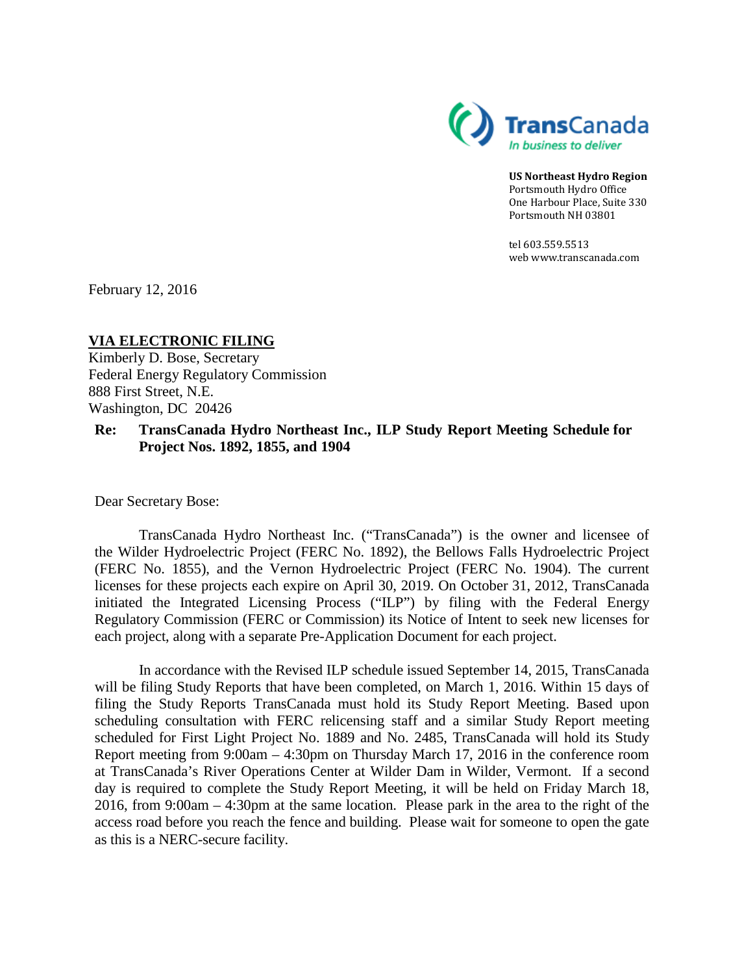

**US Northeast Hydro Region**  Portsmouth Hydro Office One Harbour Place, Suite 330 Portsmouth NH 03801

tel 603.559.5513 we[b www.transcanada.com](http://www.transcanada.com/)

February 12, 2016

# **VIA ELECTRONIC FILING**

Kimberly D. Bose, Secretary Federal Energy Regulatory Commission 888 First Street, N.E. Washington, DC 20426

#### **Re: TransCanada Hydro Northeast Inc., ILP Study Report Meeting Schedule for Project Nos. 1892, 1855, and 1904**

Dear Secretary Bose:

TransCanada Hydro Northeast Inc. ("TransCanada") is the owner and licensee of the Wilder Hydroelectric Project (FERC No. 1892), the Bellows Falls Hydroelectric Project (FERC No. 1855), and the Vernon Hydroelectric Project (FERC No. 1904). The current licenses for these projects each expire on April 30, 2019. On October 31, 2012, TransCanada initiated the Integrated Licensing Process ("ILP") by filing with the Federal Energy Regulatory Commission (FERC or Commission) its Notice of Intent to seek new licenses for each project, along with a separate Pre-Application Document for each project.

In accordance with the Revised ILP schedule issued September 14, 2015, TransCanada will be filing Study Reports that have been completed, on March 1, 2016. Within 15 days of filing the Study Reports TransCanada must hold its Study Report Meeting. Based upon scheduling consultation with FERC relicensing staff and a similar Study Report meeting scheduled for First Light Project No. 1889 and No. 2485, TransCanada will hold its Study Report meeting from 9:00am – 4:30pm on Thursday March 17, 2016 in the conference room at TransCanada's River Operations Center at Wilder Dam in Wilder, Vermont. If a second day is required to complete the Study Report Meeting, it will be held on Friday March 18, 2016, from 9:00am – 4:30pm at the same location. Please park in the area to the right of the access road before you reach the fence and building. Please wait for someone to open the gate as this is a NERC-secure facility.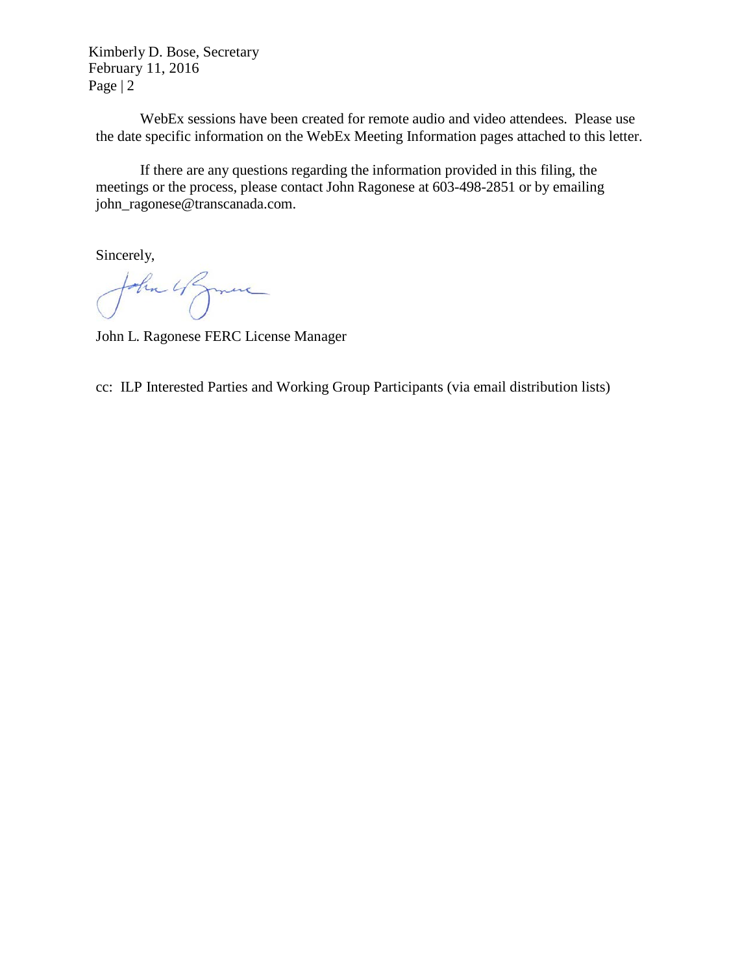Kimberly D. Bose, Secretary February 11, 2016 Page | 2

WebEx sessions have been created for remote audio and video attendees. Please use the date specific information on the WebEx Meeting Information pages attached to this letter.

If there are any questions regarding the information provided in this filing, the meetings or the process, please contact John Ragonese at 603-498-2851 or by emailin[g](mailto:john_ragonese@transcanada.com) [john\\_ragonese@transcanada.com.](mailto:john_ragonese@transcanada.com)

Sincerely,

John Ufgmen

John L. Ragonese FERC License Manager

cc: ILP Interested Parties and Working Group Participants (via email distribution lists)